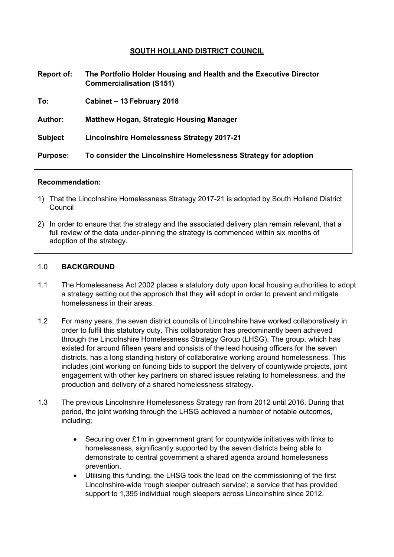## **SOUTH HOLLAND DISTRICT COUNCIL**

| Report of:      | The Portfolio Holder Housing and Health and the Executive Director<br><b>Commercialisation (S151)</b> |
|-----------------|-------------------------------------------------------------------------------------------------------|
| To:             | Cabinet - 13 February 2018                                                                            |
| <b>Author:</b>  | <b>Matthew Hogan, Strategic Housing Manager</b>                                                       |
| <b>Subject</b>  | Lincolnshire Homelessness Strategy 2017-21                                                            |
| <b>Purpose:</b> | To consider the Lincolnshire Homelessness Strategy for adoption                                       |

#### **Recommendation:**

- 1) That the Lincolnshire Homelessness Strategy 2017-21 is adopted by South Holland District Council
- 2) In order to ensure that the strategy and the associated delivery plan remain relevant, that a full review of the data under-pinning the strategy is commenced within six months of adoption of the strategy.

### 1.0 **BACKGROUND**

- 1.1 The Homelessness Act 2002 places a statutory duty upon local housing authorities to adopt a strategy setting out the approach that they will adopt in order to prevent and mitigate homelessness in their areas.
- 1.2 For many years, the seven district councils of Lincolnshire have worked collaboratively in order to fulfil this statutory duty. This collaboration has predominantly been achieved through the Lincolnshire Homelessness Strategy Group (LHSG). The group, which has existed for around fifteen years and consists of the lead housing officers for the seven districts, has a long standing history of collaborative working around homelessness. This includes joint working on funding bids to support the delivery of countywide projects, joint engagement with other key partners on shared issues relating to homelessness, and the production and delivery of a shared homelessness strategy.
- 1.3 The previous Lincolnshire Homelessness Strategy ran from 2012 until 2016. During that period, the joint working through the LHSG achieved a number of notable outcomes, including;
	- Securing over £1m in government grant for countywide initiatives with links to homelessness, significantly supported by the seven districts being able to demonstrate to central government a shared agenda around homelessness prevention.
	- Utilising this funding, the LHSG took the lead on the commissioning of the first Lincolnshire-wide 'rough sleeper outreach service'; a service that has provided support to 1,395 individual rough sleepers across Lincolnshire since 2012.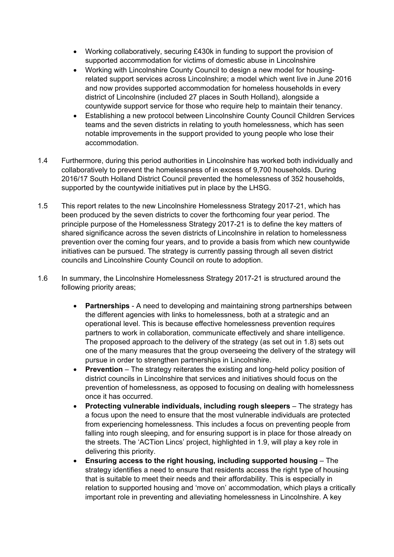- Working collaboratively, securing £430k in funding to support the provision of supported accommodation for victims of domestic abuse in Lincolnshire
- Working with Lincolnshire County Council to design a new model for housingrelated support services across Lincolnshire; a model which went live in June 2016 and now provides supported accommodation for homeless households in every district of Lincolnshire (included 27 places in South Holland), alongside a countywide support service for those who require help to maintain their tenancy.
- Establishing a new protocol between Lincolnshire County Council Children Services teams and the seven districts in relating to youth homelessness, which has seen notable improvements in the support provided to young people who lose their accommodation.
- 1.4 Furthermore, during this period authorities in Lincolnshire has worked both individually and collaboratively to prevent the homelessness of in excess of 9,700 households. During 2016/17 South Holland District Council prevented the homelessness of 352 households, supported by the countywide initiatives put in place by the LHSG.
- 1.5 This report relates to the new Lincolnshire Homelessness Strategy 2017-21, which has been produced by the seven districts to cover the forthcoming four year period. The principle purpose of the Homelessness Strategy 2017-21 is to define the key matters of shared significance across the seven districts of Lincolnshire in relation to homelessness prevention over the coming four years, and to provide a basis from which new countywide initiatives can be pursued. The strategy is currently passing through all seven district councils and Lincolnshire County Council on route to adoption.
- 1.6 In summary, the Lincolnshire Homelessness Strategy 2017-21 is structured around the following priority areas;
	- **Partnerships** A need to developing and maintaining strong partnerships between the different agencies with links to homelessness, both at a strategic and an operational level. This is because effective homelessness prevention requires partners to work in collaboration, communicate effectively and share intelligence. The proposed approach to the delivery of the strategy (as set out in 1.8) sets out one of the many measures that the group overseeing the delivery of the strategy will pursue in order to strengthen partnerships in Lincolnshire.
	- **Prevention** The strategy reiterates the existing and long-held policy position of district councils in Lincolnshire that services and initiatives should focus on the prevention of homelessness, as opposed to focusing on dealing with homelessness once it has occurred.
	- **Protecting vulnerable individuals, including rough sleepers** The strategy has a focus upon the need to ensure that the most vulnerable individuals are protected from experiencing homelessness. This includes a focus on preventing people from falling into rough sleeping, and for ensuring support is in place for those already on the streets. The 'ACTion Lincs' project, highlighted in 1.9, will play a key role in delivering this priority.
	- **Ensuring access to the right housing, including supported housing** The strategy identifies a need to ensure that residents access the right type of housing that is suitable to meet their needs and their affordability. This is especially in relation to supported housing and 'move on' accommodation, which plays a critically important role in preventing and alleviating homelessness in Lincolnshire. A key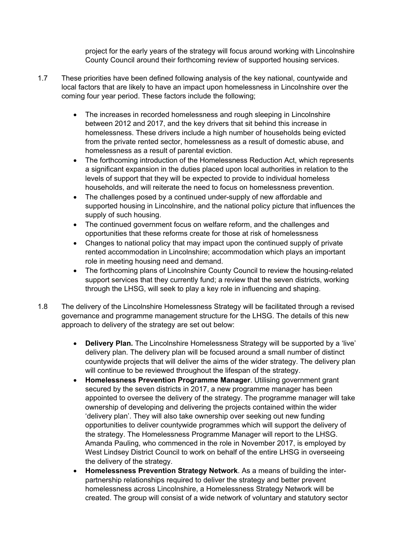project for the early years of the strategy will focus around working with Lincolnshire County Council around their forthcoming review of supported housing services.

- 1.7 These priorities have been defined following analysis of the key national, countywide and local factors that are likely to have an impact upon homelessness in Lincolnshire over the coming four year period. These factors include the following;
	- The increases in recorded homelessness and rough sleeping in Lincolnshire between 2012 and 2017, and the key drivers that sit behind this increase in homelessness. These drivers include a high number of households being evicted from the private rented sector, homelessness as a result of domestic abuse, and homelessness as a result of parental eviction.
	- The forthcoming introduction of the Homelessness Reduction Act, which represents a significant expansion in the duties placed upon local authorities in relation to the levels of support that they will be expected to provide to individual homeless households, and will reiterate the need to focus on homelessness prevention.
	- The challenges posed by a continued under-supply of new affordable and supported housing in Lincolnshire, and the national policy picture that influences the supply of such housing.
	- The continued government focus on welfare reform, and the challenges and opportunities that these reforms create for those at risk of homelessness
	- Changes to national policy that may impact upon the continued supply of private rented accommodation in Lincolnshire; accommodation which plays an important role in meeting housing need and demand.
	- The forthcoming plans of Lincolnshire County Council to review the housing-related support services that they currently fund; a review that the seven districts, working through the LHSG, will seek to play a key role in influencing and shaping.
- 1.8 The delivery of the Lincolnshire Homelessness Strategy will be facilitated through a revised governance and programme management structure for the LHSG. The details of this new approach to delivery of the strategy are set out below:
	- **Delivery Plan.** The Lincolnshire Homelessness Strategy will be supported by a 'live' delivery plan. The delivery plan will be focused around a small number of distinct countywide projects that will deliver the aims of the wider strategy. The delivery plan will continue to be reviewed throughout the lifespan of the strategy.
	- **Homelessness Prevention Programme Manager**. Utilising government grant secured by the seven districts in 2017, a new programme manager has been appointed to oversee the delivery of the strategy. The programme manager will take ownership of developing and delivering the projects contained within the wider 'delivery plan'. They will also take ownership over seeking out new funding opportunities to deliver countywide programmes which will support the delivery of the strategy. The Homelessness Programme Manager will report to the LHSG. Amanda Pauling, who commenced in the role in November 2017, is employed by West Lindsey District Council to work on behalf of the entire LHSG in overseeing the delivery of the strategy.
	- **Homelessness Prevention Strategy Network**. As a means of building the interpartnership relationships required to deliver the strategy and better prevent homelessness across Lincolnshire, a Homelessness Strategy Network will be created. The group will consist of a wide network of voluntary and statutory sector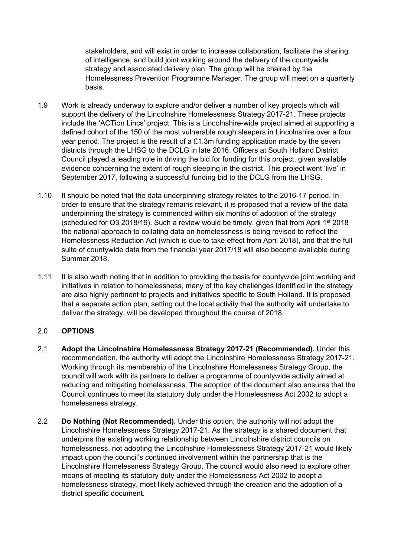stakeholders, and will exist in order to increase collaboration, facilitate the sharing of intelligence, and build joint working around the delivery of the countywide strategy and associated delivery plan. The group will be chaired by the Homelessness Prevention Programme Manager. The group will meet on a quarterly basis.

- 1.9 Work is already underway to explore and/or deliver a number of key projects which will support the delivery of the Lincolnshire Homelessness Strategy 2017-21. These projects include the 'ACTion Lincs' project. This is a Lincolnshire-wide project aimed at supporting a defined cohort of the 150 of the most vulnerable rough sleepers in Lincolnshire over a four year period. The project is the result of a £1.3m funding application made by the seven districts through the LHSG to the DCLG in late 2016. Officers at South Holland District Council played a leading role in driving the bid for funding for this project, given available evidence concerning the extent of rough sleeping in the district. This project went 'live' in September 2017, following a successful funding bid to the DCLG from the LHSG.
- 1.10 It should be noted that the data underpinning strategy relates to the 2016-17 period. In order to ensure that the strategy remains relevant, it is proposed that a review of the data underpinning the strategy is commenced within six months of adoption of the strategy (scheduled for Q3 2018/19). Such a review would be timely, given that from April 1<sup>st</sup> 2018 the national approach to collating data on homelessness is being revised to reflect the Homelessness Reduction Act (which is due to take effect from April 2018), and that the full suite of countywide data from the financial year 2017/18 will also become available during Summer 2018.
- 1.11 It is also worth noting that in addition to providing the basis for countywide joint working and initiatives in relation to homelessness, many of the key challenges identified in the strategy are also highly pertinent to projects and initiatives specific to South Holland. It is proposed that a separate action plan, setting out the local activity that the authority will undertake to deliver the strategy, will be developed throughout the course of 2018.

# 2.0 **OPTIONS**

- 2.1 **Adopt the Lincolnshire Homelessness Strategy 2017-21 (Recommended).** Under this recommendation, the authority will adopt the Lincolnshire Homelessness Strategy 2017-21. Working through its membership of the Lincolnshire Homelessness Strategy Group, the council will work with its partners to deliver a programme of countywide activity aimed at reducing and mitigating homelessness. The adoption of the document also ensures that the Council continues to meet its statutory duty under the Homelessness Act 2002 to adopt a homelessness strategy.
- 2.2 **Do Nothing (Not Recommended).** Under this option, the authority will not adopt the Lincolnshire Homelessness Strategy 2017-21. As the strategy is a shared document that underpins the existing working relationship between Lincolnshire district councils on homelessness, not adopting the Lincolnshire Homelessness Strategy 2017-21 would likely impact upon the council's continued involvement within the partnership that is the Lincolnshire Homelessness Strategy Group. The council would also need to explore other means of meeting its statutory duty under the Homelessness Act 2002 to adopt a homelessness strategy, most likely achieved through the creation and the adoption of a district specific document.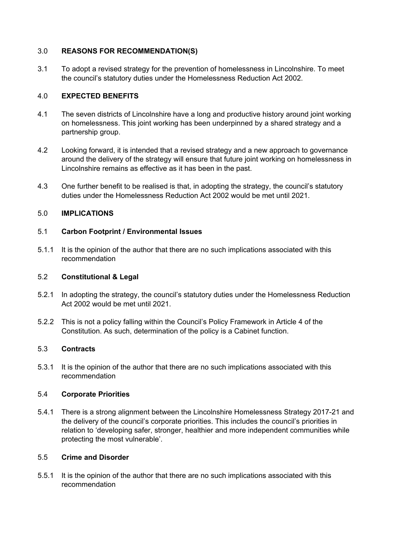## 3.0 **REASONS FOR RECOMMENDATION(S)**

3.1 To adopt a revised strategy for the prevention of homelessness in Lincolnshire. To meet the council's statutory duties under the Homelessness Reduction Act 2002.

### 4.0 **EXPECTED BENEFITS**

- 4.1 The seven districts of Lincolnshire have a long and productive history around joint working on homelessness. This joint working has been underpinned by a shared strategy and a partnership group.
- 4.2 Looking forward, it is intended that a revised strategy and a new approach to governance around the delivery of the strategy will ensure that future joint working on homelessness in Lincolnshire remains as effective as it has been in the past.
- 4.3 One further benefit to be realised is that, in adopting the strategy, the council's statutory duties under the Homelessness Reduction Act 2002 would be met until 2021.

## 5.0 **IMPLICATIONS**

### 5.1 **Carbon Footprint / Environmental Issues**

5.1.1 It is the opinion of the author that there are no such implications associated with this recommendation

### 5.2 **Constitutional & Legal**

- 5.2.1 In adopting the strategy, the council's statutory duties under the Homelessness Reduction Act 2002 would be met until 2021.
- 5.2.2 This is not a policy falling within the Council's Policy Framework in Article 4 of the Constitution. As such, determination of the policy is a Cabinet function.

### 5.3 **Contracts**

5.3.1 It is the opinion of the author that there are no such implications associated with this recommendation

### 5.4 **Corporate Priorities**

5.4.1 There is a strong alignment between the Lincolnshire Homelessness Strategy 2017-21 and the delivery of the council's corporate priorities. This includes the council's priorities in relation to 'developing safer, stronger, healthier and more independent communities while protecting the most vulnerable'.

### 5.5 **Crime and Disorder**

5.5.1 It is the opinion of the author that there are no such implications associated with this recommendation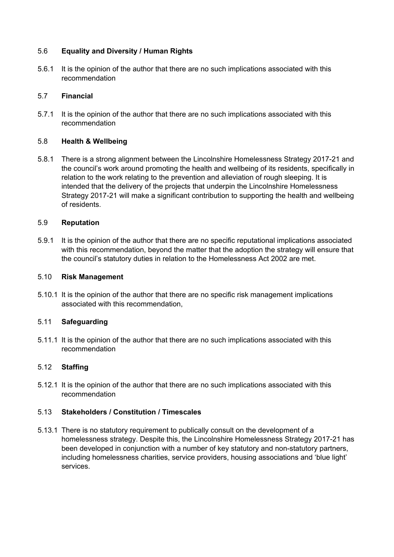## 5.6 **Equality and Diversity / Human Rights**

5.6.1 It is the opinion of the author that there are no such implications associated with this recommendation

### 5.7 **Financial**

5.7.1 It is the opinion of the author that there are no such implications associated with this recommendation

## 5.8 **Health & Wellbeing**

5.8.1 There is a strong alignment between the Lincolnshire Homelessness Strategy 2017-21 and the council's work around promoting the health and wellbeing of its residents, specifically in relation to the work relating to the prevention and alleviation of rough sleeping. It is intended that the delivery of the projects that underpin the Lincolnshire Homelessness Strategy 2017-21 will make a significant contribution to supporting the health and wellbeing of residents.

## 5.9 **Reputation**

5.9.1 It is the opinion of the author that there are no specific reputational implications associated with this recommendation, beyond the matter that the adoption the strategy will ensure that the council's statutory duties in relation to the Homelessness Act 2002 are met.

### 5.10 **Risk Management**

5.10.1 It is the opinion of the author that there are no specific risk management implications associated with this recommendation,

### 5.11 **Safeguarding**

5.11.1 It is the opinion of the author that there are no such implications associated with this recommendation

## 5.12 **Staffing**

5.12.1 It is the opinion of the author that there are no such implications associated with this recommendation

# 5.13 **Stakeholders / Constitution / Timescales**

5.13.1 There is no statutory requirement to publically consult on the development of a homelessness strategy. Despite this, the Lincolnshire Homelessness Strategy 2017-21 has been developed in conjunction with a number of key statutory and non-statutory partners, including homelessness charities, service providers, housing associations and 'blue light' services.